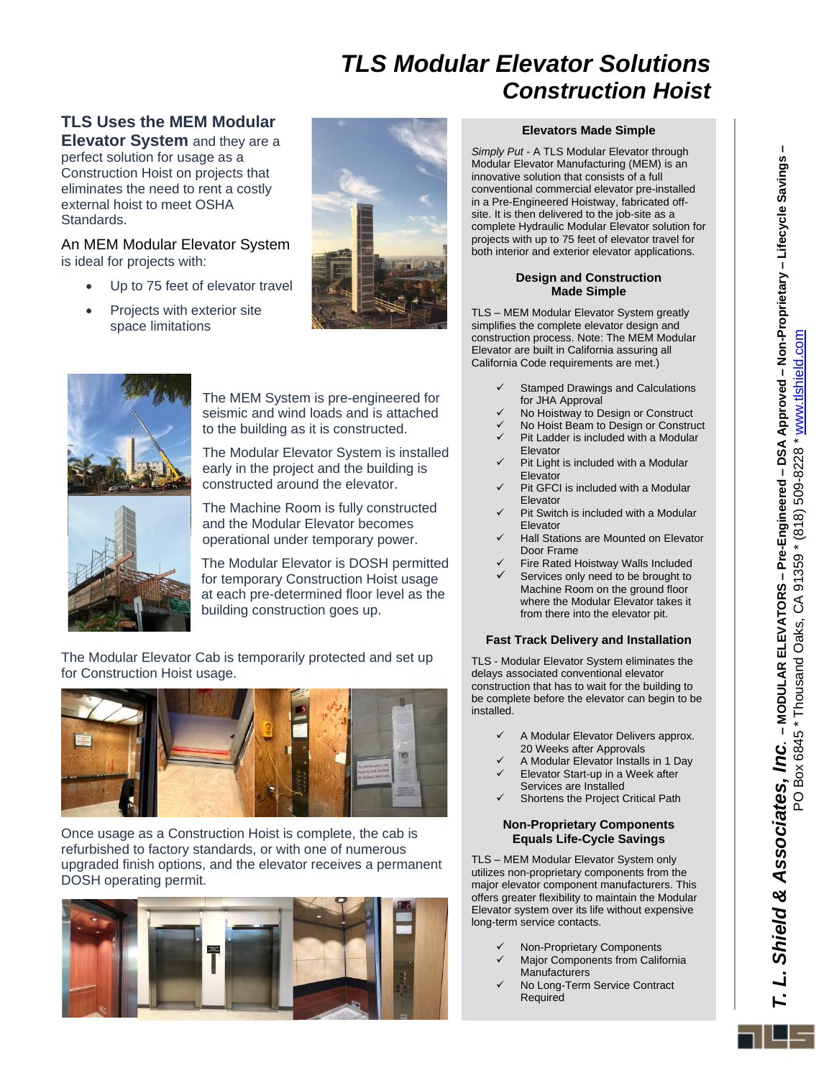# *TLS Modular Elevator Solutions Construction Hoist*

### **TLS Uses the MEM Modular Elevator System** and they are a

perfect solution for usage as a Construction Hoist on projects that eliminates the need to rent a costly external hoist to meet OSHA Standards.

#### An MEM Modular Elevator System is ideal for projects with:

- Up to 75 feet of elevator travel
- Projects with exterior site space limitations





The MEM System is pre-engineered for seismic and wind loads and is attached to the building as it is constructed.

The Modular Elevator System is installed early in the project and the building is constructed around the elevator.



The Machine Room is fully constructed and the Modular Elevator becomes operational under temporary power.

The Modular Elevator is DOSH permitted for temporary Construction Hoist usage at each pre-determined floor level as the building construction goes up.

The Modular Elevator Cab is temporarily protected and set up for Construction Hoist usage.



Once usage as a Construction Hoist is complete, the cab is refurbished to factory standards, or with one of numerous upgraded finish options, and the elevator receives a permanent DOSH operating permit.



#### **Elevators Made Simple**

*Simply Put* - A TLS Modular Elevator through Modular Elevator Manufacturing (MEM) is an innovative solution that consists of a full conventional commercial elevator pre-installed in a Pre-Engineered Hoistway, fabricated offsite. It is then delivered to the job-site as a complete Hydraulic Modular Elevator solution for projects with up to 75 feet of elevator travel for both interior and exterior elevator applications.

#### **Design and Construction Made Simple**

TLS – MEM Modular Elevator System greatly simplifies the complete elevator design and construction process. Note: The MEM Modular Elevator are built in California assuring all California Code requirements are met.)

- Stamped Drawings and Calculations for JHA Approval
- No Hoistway to Design or Construct
- ✓ No Hoist Beam to Design or Construct
- Pit Ladder is included with a Modular
- Elevator  $\checkmark$  Pit Light is included with a Modular
- Elevator Pit GFCI is included with a Modular Elevator
- ✓ Pit Switch is included with a Modular Elevator
- Hall Stations are Mounted on Elevator Door Frame
- Fire Rated Hoistway Walls Included
- Services only need to be brought to Machine Room on the ground floor where the Modular Elevator takes it from there into the elevator pit.

#### **Fast Track Delivery and Installation**

TLS - Modular Elevator System eliminates the delays associated conventional elevator construction that has to wait for the building to be complete before the elevator can begin to be installed.

- A Modular Elevator Delivers approx. 20 Weeks after Approvals
- ✓ A Modular Elevator Installs in 1 Day Elevator Start-up in a Week after
- Services are Installed Shortens the Project Critical Path

#### **Non-Proprietary Components Equals Life-Cycle Savings**

TLS – MEM Modular Elevator System only utilizes non-proprietary components from the major elevator component manufacturers. This offers greater flexibility to maintain the Modular Elevator system over its life without expensive long-term service contacts.

- ✓ Non-Proprietary Components
- Major Components from California Manufacturers
- No Long-Term Service Contract Required